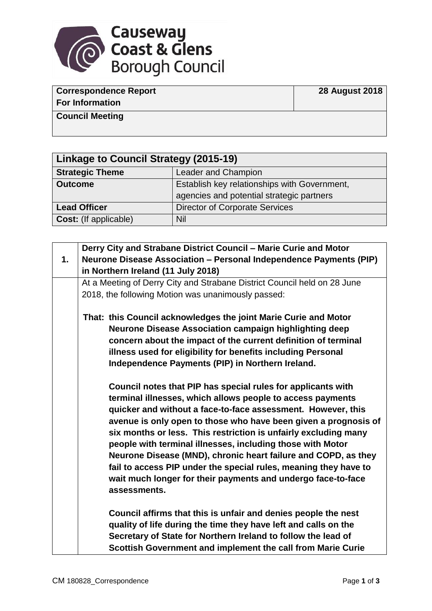

| <b>Correspondence Report</b> |  |
|------------------------------|--|
| <b>For Information</b>       |  |

**28 August 2018**

**Council Meeting**

| Linkage to Council Strategy (2015-19) |                                              |
|---------------------------------------|----------------------------------------------|
| <b>Strategic Theme</b>                | Leader and Champion                          |
| <b>Outcome</b>                        | Establish key relationships with Government, |
|                                       | agencies and potential strategic partners    |
| <b>Lead Officer</b>                   | <b>Director of Corporate Services</b>        |
| <b>Cost:</b> (If applicable)          | Nil                                          |

|    | Derry City and Strabane District Council - Marie Curie and Motor         |
|----|--------------------------------------------------------------------------|
| 1. | Neurone Disease Association - Personal Independence Payments (PIP)       |
|    | in Northern Ireland (11 July 2018)                                       |
|    | At a Meeting of Derry City and Strabane District Council held on 28 June |
|    | 2018, the following Motion was unanimously passed:                       |
|    |                                                                          |
|    | That: this Council acknowledges the joint Marie Curie and Motor          |
|    | Neurone Disease Association campaign highlighting deep                   |
|    | concern about the impact of the current definition of terminal           |
|    | illness used for eligibility for benefits including Personal             |
|    | Independence Payments (PIP) in Northern Ireland.                         |
|    |                                                                          |
|    | Council notes that PIP has special rules for applicants with             |
|    | terminal illnesses, which allows people to access payments               |
|    | quicker and without a face-to-face assessment. However, this             |
|    | avenue is only open to those who have been given a prognosis of          |
|    | six months or less. This restriction is unfairly excluding many          |
|    | people with terminal illnesses, including those with Motor               |
|    | Neurone Disease (MND), chronic heart failure and COPD, as they           |
|    | fail to access PIP under the special rules, meaning they have to         |
|    | wait much longer for their payments and undergo face-to-face             |
|    | assessments.                                                             |
|    |                                                                          |
|    | Council affirms that this is unfair and denies people the nest           |
|    | quality of life during the time they have left and calls on the          |
|    | Secretary of State for Northern Ireland to follow the lead of            |
|    | Scottish Government and implement the call from Marie Curie              |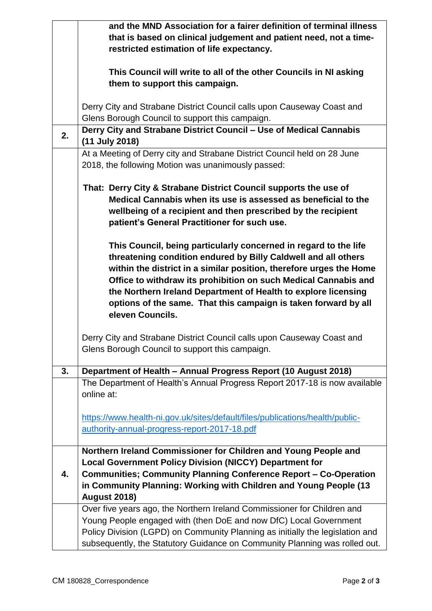|    | and the MND Association for a fairer definition of terminal illness           |
|----|-------------------------------------------------------------------------------|
|    | that is based on clinical judgement and patient need, not a time-             |
|    | restricted estimation of life expectancy.                                     |
|    |                                                                               |
|    | This Council will write to all of the other Councils in NI asking             |
|    | them to support this campaign.                                                |
|    |                                                                               |
|    | Derry City and Strabane District Council calls upon Causeway Coast and        |
|    | Glens Borough Council to support this campaign.                               |
|    | Derry City and Strabane District Council - Use of Medical Cannabis            |
| 2. | (11 July 2018)                                                                |
|    | At a Meeting of Derry city and Strabane District Council held on 28 June      |
|    | 2018, the following Motion was unanimously passed:                            |
|    |                                                                               |
|    | That: Derry City & Strabane District Council supports the use of              |
|    | Medical Cannabis when its use is assessed as beneficial to the                |
|    | wellbeing of a recipient and then prescribed by the recipient                 |
|    | patient's General Practitioner for such use.                                  |
|    |                                                                               |
|    | This Council, being particularly concerned in regard to the life              |
|    | threatening condition endured by Billy Caldwell and all others                |
|    |                                                                               |
|    |                                                                               |
|    | within the district in a similar position, therefore urges the Home           |
|    | Office to withdraw its prohibition on such Medical Cannabis and               |
|    | the Northern Ireland Department of Health to explore licensing                |
|    | options of the same. That this campaign is taken forward by all               |
|    | eleven Councils.                                                              |
|    |                                                                               |
|    | Derry City and Strabane District Council calls upon Causeway Coast and        |
|    | Glens Borough Council to support this campaign.                               |
|    |                                                                               |
| 3. | Department of Health - Annual Progress Report (10 August 2018)                |
|    | The Department of Health's Annual Progress Report 2017-18 is now available    |
|    | online at:                                                                    |
|    |                                                                               |
|    | https://www.health-ni.gov.uk/sites/default/files/publications/health/public-  |
|    | authority-annual-progress-report-2017-18.pdf                                  |
|    |                                                                               |
|    | Northern Ireland Commissioner for Children and Young People and               |
|    | <b>Local Government Policy Division (NICCY) Department for</b>                |
| 4. | <b>Communities; Community Planning Conference Report - Co-Operation</b>       |
|    | in Community Planning: Working with Children and Young People (13             |
|    | <b>August 2018)</b>                                                           |
|    | Over five years ago, the Northern Ireland Commissioner for Children and       |
|    | Young People engaged with (then DoE and now DfC) Local Government             |
|    | Policy Division (LGPD) on Community Planning as initially the legislation and |